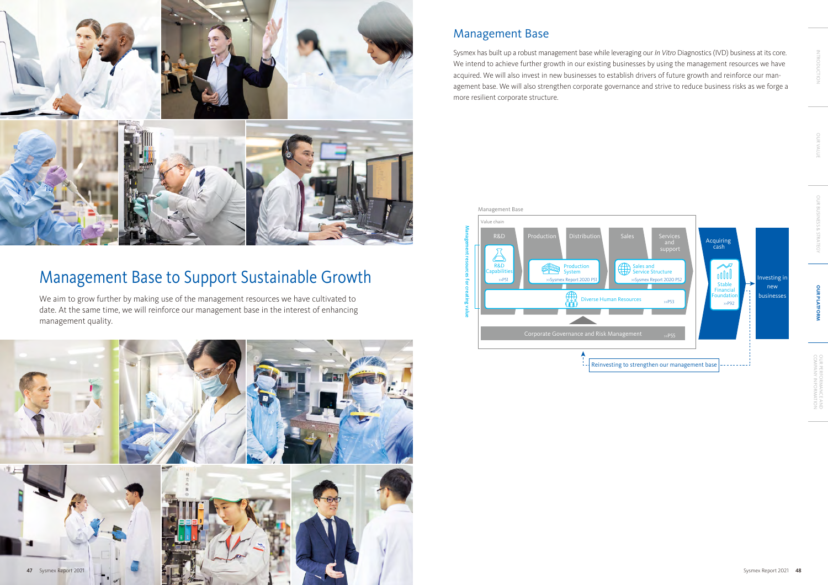

Sysmex has built up a robust management base while leveraging our *In Vitro* Diagnostics (IVD) business at its core. We intend to achieve further growth in our existing businesses by using the management resources we have acquired. We will also invest in new businesses to establish drivers of future growth and reinforce our management base. We will also strengthen corporate governance and strive to reduce business risks as we forge a more resilient corporate structure.

# Management Base



# Management Base to Support Sustainable Growth

We aim to grow further by making use of the management resources we have cultivated to date. At the same time, we will reinforce our management base in the interest of enhancing management quality.



OUR VALUE INTRODUCTION

OUR BUSINESS & STRATEGY

**OUR PLATFORM**

**OUR PLATFORM** 

COMPANY INFORMATION<br>COMPANY INFORMATION

UR PERFORMANCE AND<br>DMPANY INFORMATION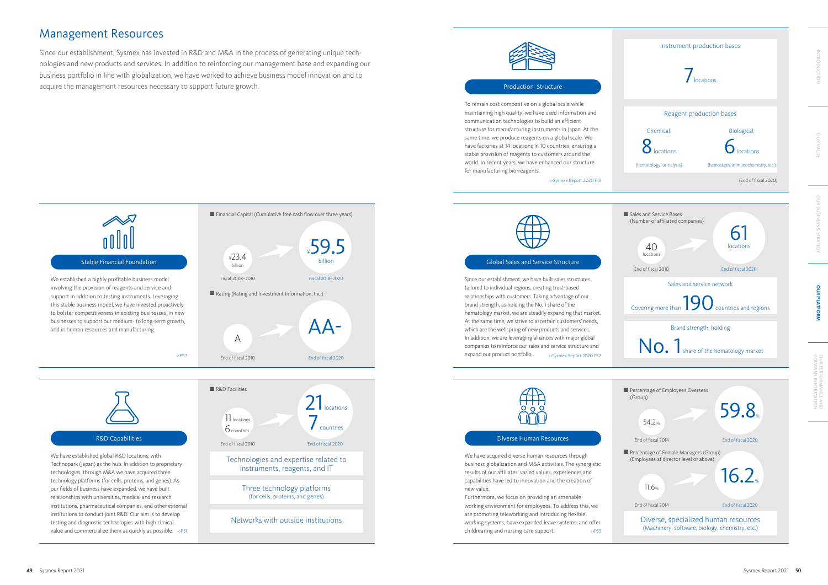We established a highly profitable business model involving the provision of reagents and service and support in addition to testing instruments. Leveraging this stable business model, we have invested proactively to bolster competitiveness in existing businesses, in new businesses to support our medium- to long-term growth, and in human resources and manufacturing.

## Stable Financial Foundation

We have established global R&D locations, with Technopark (Japan) as the hub. In addition to proprietary technologies, through M&A we have acquired three technology platforms (for cells, proteins, and genes). As our fields of business have expanded, we have built relationships with universities, medical and research institutions, pharmaceutical companies, and other external institutions to conduct joint R&D. Our aim is to develop testing and diagnostic technologies with high clinical value and commercialize them as quickly as possible. >>P51



>>P92



Three technology platforms (for cells, proteins, and genes)

Networks with outside institutions







## Global Sales and Service Structure

Since our establishment, we have built sales structures tailored to individual regions, creating trust-based relationships with customers. Taking advantage of our brand strength, as holding the No. 1 share of the hematology market, we are steadily expanding that market. At the same time, we strive to ascertain customers' needs, which are the wellspring of new products and services. In addition, we are leveraging alliances with major global companies to reinforce our sales and service structure and expand our product portfolio. >>Sysmex Report 2020 P52



We have acquired diverse human resources through business globalization and M&A activities. The synergistic results of our affiliates' varied values, experiences and capabilities have led to innovation and the creation of new value.

Furthermore, we focus on providing an amenable working environment for employees. To address this, we are promoting teleworking and introducing flexible working systems, have expanded leave systems, and offer childrearing and nursing care support. >>P53

## Diverse Human Resources

To remain cost competitive on a global scale while maintaining high quality, we have used information and communication technologies to build an efficient structure for manufacturing instruments in Japan. At the same time, we produce reagents on a global scale. We have factories at 14 locations in 10 countries, ensuring a stable provision of reagents to customers around the world. In recent years, we have enhanced our structure for manufacturing bio-reagents.

## Production Structure

>>Sysmex Report 2020 P51



## Management Resources

Since our establishment, Sysmex has invested in R&D and M&A in the process of generating unique technologies and new products and services. In addition to reinforcing our management base and expanding our business portfolio in line with globalization, we have worked to achieve business model innovation and to acquire the management resources necessary to support future growth.

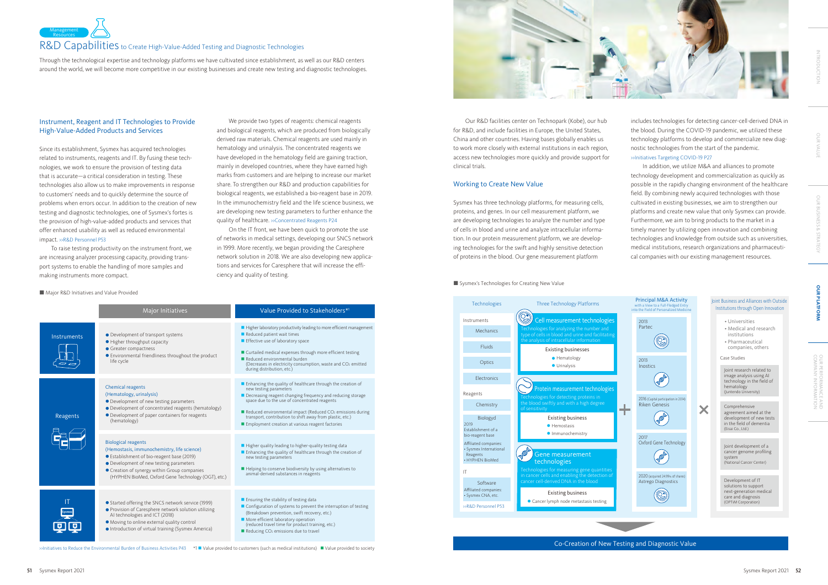

## Joint Business and Alliances with Outside Institutions through Open Innovation



Co-Creation of New Testing and Diagnostic Value

- Universities
- Medical and research institutions
- Pharmaceutical companies, others

### Case Studies

X

Joint research related to image analysis using AI technology in the field of hematology (Juntendo University)

Comprehensive agreement aimed at the development of new tests in the field of dementia (Eisai Co., Ltd.)

Joint development of a cancer genome profiling system (National Cancer Center)

Development of IT solutions to support next-generation medical care and diagnosis (OPTiM Corporation)



We provide two types of reagents: chemical reagents and biological reagents, which are produced from biologically derived raw materials. Chemical reagents are used mainly in hematology and urinalysis. The concentrated reagents we have developed in the hematology field are gaining traction, mainly in developed countries, where they have earned high marks from customers and are helping to increase our market share. To strengthen our R&D and production capabilities for biological reagents, we established a bio-reagent base in 2019. In the immunochemistry field and the life science business, we are developing new testing parameters to further enhance the quality of healthcare. »Concentrated Reagents P24

Through the technological expertise and technology platforms we have cultivated since establishment, as well as our R&D centers around the world, we will become more competitive in our existing businesses and create new testing and diagnostic technologies.

## Instrument, Reagent and IT Technologies to Provide High-Value-Added Products and Services

Since its establishment, Sysmex has acquired technologies related to instruments, reagents and IT. By fusing these technologies, we work to ensure the provision of testing data that is accurate—a critical consideration in testing. These technologies also allow us to make improvements in response to customers' needs and to quickly determine the source of problems when errors occur. In addition to the creation of new testing and diagnostic technologies, one of Sysmex's fortes is the provision of high-value-added products and services that offer enhanced usability as well as reduced environmental impact. >>R&D Personnel P53

To raise testing productivity on the instrument front, we are increasing analyzer processing capacity, providing transport systems to enable the handling of more samples and making instruments more compact.

■ Major R&D Initiatives and Value Provided

On the IT front, we have been quick to promote the use of networks in medical settings, developing our SNCS network in 1999. More recently, we began providing the Caresphere network solution in 2018. We are also developing new applications and services for Caresphere that will increase the efficiency and quality of testing.

Major Initiatives **Markow Communist Provided to Stakeholders\*** Major Initiatives ■ Higher laboratory productivity leading to more efficient management **n** Reduced patient wait times **• Development of transport systems Instruments Higher throughput capacity**  $\blacksquare$  Effective use of laboratory space **C** Greater compactness ■ Curtailed medical expenses through more efficient testing **•** Environmental friendliness throughout the product  $\blacksquare$  Reduced environmental burden life cycle (Decreases in electricity consumption, waste and CO<sub>2</sub> emitted during distribution, etc.) n Enhancing the quality of healthcare through the creation of Chemical reagents new testing parameters (Hematology, urinalysis) n Decreasing reagent changing frequency and reducing storage space due to the use of concentrated reagents l Development of new testing parameters l Development of concentrated reagents (hematology) ■ Reduced environmental impact (Reduced CO<sub>2</sub> emissions during transport, contribution to shift away from plastic, etc.) l Development of paper containers for reagents Reagents (hematology) **Exercise Employment creation at various reagent factories** Biological reagents  $\blacksquare$  Higher quality leading to higher-quality testing data (Hemostasis, immunochemistry, life science) **n** Enhancing the quality of healthcare through the creation of ● Establishment of bio-reagent base (2019) new testing parameters **•** Development of new testing parameters **•** Creation of synergy within Group companies ■ Helping to conserve biodiversity by using alternatives to animal-derived substances in reagents (HYPHEN BioMed, Oxford Gene Technology (OGT), etc.)  $\blacksquare$  Ensuring the stability of testing data IT ● Started offering the SNCS network service (1999)  $\blacksquare$  Configuration of systems to prevent the interruption of testing **•** Provision of Caresphere network solution utilizing **Sysmex** (Breakdown prevention, swift recovery, etc.) AI technologies and ICT (2018) ■ More efficient laboratory operation<br>(reduced travel time for product training, etc.)  $\bullet$  Moving to online external quality control 回回 **.** Introduction of virtual training (Sysmex America)  $\blacksquare$  Reducing CO<sub>2</sub> emissions due to travel

>>Initiatives to Reduce the Environmental Burden of Business Activities P43 N I Value provided to customers (such as medical institutions) I Value provided to society



Our R&D facilities center on Technopark (Kobe), our hub for R&D, and include facilities in Europe, the United States, China and other countries. Having bases globally enables us to work more closely with external institutions in each region, access new technologies more quickly and provide support for clinical trials.

## Working to Create New Value

Sysmex has three technology platforms, for measuring cells, proteins, and genes. In our cell measurement platform, we are developing technologies to analyze the number and type of cells in blood and urine and analyze intracellular information. In our protein measurement platform, we are developing technologies for the swift and highly sensitive detection of proteins in the blood. Our gene measurement platform

## ■ Sysmex's Technologies for Creating New Value

includes technologies for detecting cancer-cell-derived DNA in the blood. During the COVID-19 pandemic, we utilized these technology platforms to develop and commercialize new diagnostic technologies from the start of the pandemic. >>Initiatives Targeting COVID-19 P27

In addition, we utilize M&A and alliances to promote technology development and commercialization as quickly as possible in the rapidly changing environment of the healthcare field. By combining newly acquired technologies with those cultivated in existing businesses, we aim to strengthen our platforms and create new value that only Sysmex can provide. Furthermore, we aim to bring products to the market in a timely manner by utilizing open innovation and combining technologies and knowledge from outside such as universities, medical institutions, research organizations and pharmaceutical companies with our existing management resources.

# OUR VALUE INTRODUCTION